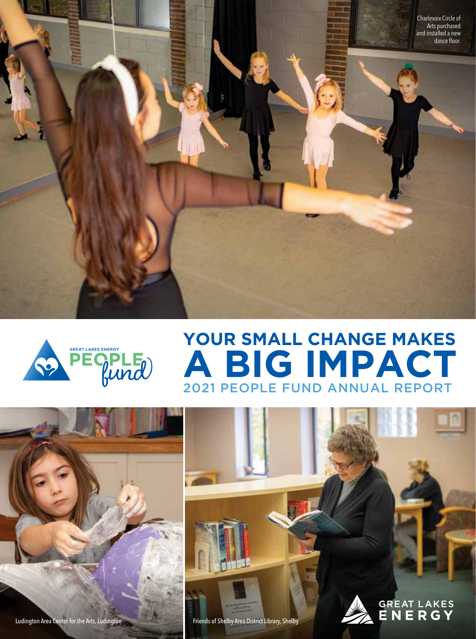



# 2021 PEOPLE FUND ANNUAL REPORT **YOUR SMALL CHANGE MAKES A BIG IMPACT**





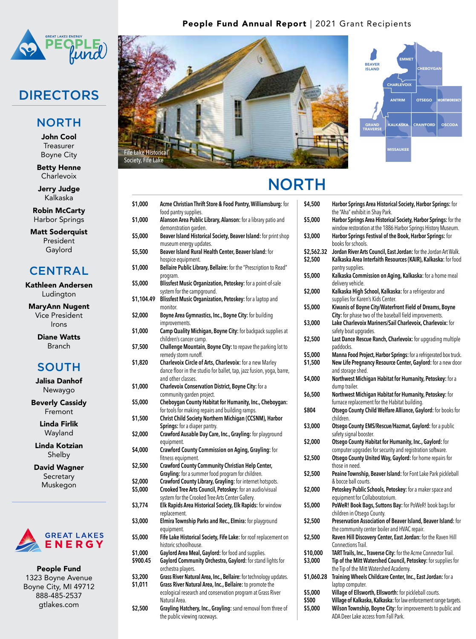

## DIRECTORS

#### **NORTH**

John Cool **Treasurer** Boyne City

Betty Henne **Charlevoix** 

Jerry Judge Kalkaska

Robin McCarty Harbor Springs

Matt Soderquist President Gaylord

#### **CENTRAL**

Kathleen Andersen Ludington

MaryAnn Nugent Vice President Irons

> Diane Watts Branch

### **SOUTH**

Jalisa Danhof Newaygo

Beverly Cassidy Fremont

> Linda Firlik Wayland

Linda Kotzian Shelby

David Wagner **Secretary** Muskegon



People Fund 1323 Boyne Avenue Boyne City, MI 49712 888-485-2537 gtlakes.com

### People Fund Annual Report | 2021 Grant Recipients





# **NORTH**

| \$1,000    | <b>Acme Christian Thrift Store &amp; Food Pantry, Williamsburg: for</b><br>food pantry supplies. | \$4, |
|------------|--------------------------------------------------------------------------------------------------|------|
| \$1,000    | Alanson Area Public Library, Alanson: for a library patio and                                    | \$5, |
|            | demonstration garden.                                                                            |      |
| \$5,000    | Beaver Island Historical Society, Beaver Island: for print shop                                  | \$3, |
|            | museum energy updates.                                                                           |      |
| \$5,500    | Beaver Island Rural Health Center, Beaver Island: for                                            | \$2, |
|            | hospice equipment.                                                                               | \$2, |
| \$1,000    | Bellaire Public Library, Bellaire: for the "Prescription to Read"                                |      |
|            | program.                                                                                         | \$5, |
| \$5,000    | <b>Blissfest Music Organization, Petoskey:</b> for a point-of-sale                               |      |
|            | system for the campground.                                                                       | \$2, |
| \$1,104.49 | Blissfest Music Organization, Petoskey: for a laptop and                                         |      |
|            | monitor.                                                                                         | \$5, |
| \$2,000    | Boyne Area Gymnastics, Inc., Boyne City: for building                                            |      |
|            | improvements.                                                                                    | \$3, |
| \$1,000    | Camp Quality Michigan, Boyne City: for backpack supplies at                                      |      |
|            | children's cancer camp.                                                                          | \$2, |
| \$7,500    | Challenge Mountain, Boyne City: to repave the parking lot to                                     |      |
|            | remedy storm runoff.                                                                             | \$5, |
| \$1,820    | Charlevoix Circle of Arts, Charlevoix: for a new Marley                                          | \$1, |
|            | dance floor in the studio for ballet, tap, jazz fusion, yoga, barre,                             |      |
|            | and other classes.                                                                               | \$4, |
| \$1,000    | <b>Charlevoix Conservation District, Boyne City: for a</b>                                       |      |
|            | community garden project.                                                                        | \$6, |
| \$5,000    | Cheboygan County Habitat for Humanity, Inc., Cheboygan:                                          |      |
|            | for tools for making repairs and building ramps.                                                 | \$80 |
| \$1,500    | Christ Child Society Northern Michigan (CCSNM), Harbor                                           |      |
|            | <b>Springs:</b> for a diaper pantry.                                                             | \$3, |
| \$2,000    | Crawford Ausable Day Care, Inc., Grayling: for playground                                        |      |
|            | equipment.                                                                                       | \$2, |
| \$4,000    | <b>Crawford County Commission on Aging, Grayling: for</b>                                        |      |
|            | fitness equipment.                                                                               | \$2, |
| \$2,500    | Crawford County Community Christian Help Center,                                                 |      |
|            | <b>Grayling:</b> for a summer food program for children.                                         | \$2, |
| \$2,000    | Crawford County Library, Grayling: for internet hotspots.                                        |      |
| \$5,000    | Crooked Tree Arts Council, Petoskey: for an audio/visual                                         | \$2, |
|            | system for the Crooked Tree Arts Center Gallery.                                                 |      |
| \$3,774    | Elk Rapids Area Historical Society, Elk Rapids: for window<br>replacement.                       | \$5, |
| \$3,000    | Elmira Township Parks and Rec., Elmira: for playground                                           | \$2, |
|            | equipment.                                                                                       |      |
| \$5,000    | Fife Lake Historical Society, Fife Lake: for roof replacement on                                 | \$2, |
|            | historic schoolhouse.                                                                            |      |
| \$1,000    | Gaylord Area Meal, Gaylord: for food and supplies.                                               | \$1( |
| \$900.45   | Gaylord Community Orchestra, Gaylord: for stand lights for                                       | \$3, |
|            | orchestra players.                                                                               |      |
| \$3,200    | Grass River Natural Area, Inc., Bellaire: for technology updates.                                | \$1, |
| \$1,011    | Grass River Natural Area, Inc., Bellaire: to promote the                                         |      |
|            | ecological research and conservation program at Grass River                                      | \$5, |
|            | Natural Area.                                                                                    | \$50 |
| \$2,500    | Grayling Hatchery, Inc., Grayling: sand removal from three of                                    | \$5, |
|            | the public viewing raceways.                                                                     |      |

| \$4,500    | Harbor Springs Area Historical Society, Harbor Springs: for                                                          |
|------------|----------------------------------------------------------------------------------------------------------------------|
|            | the "Aha" exhibit in Shay Park.                                                                                      |
| \$5,000    | Harbor Springs Area Historical Society, Harbor Springs: for the                                                      |
|            | window restoration at the 1886 Harbor Springs History Museum.                                                        |
| \$3,000    | Harbor Springs Festival of the Book, Harbor Springs: for                                                             |
|            | books for schools.                                                                                                   |
| \$2,562.32 | Jordan River Arts Council, East Jordan: for the Jordan Art Walk.                                                     |
| \$2,500    | Kalkaska Area Interfaith Resources (KAIR), Kalkaska: for food<br>pantry supplies.                                    |
| \$5,000    | Kalkaska Commission on Aging, Kalkaska: for a home meal                                                              |
|            | delivery vehicle.                                                                                                    |
| \$2,000    | Kalkaska High School, Kalkaska: for a refrigerator and                                                               |
|            | supplies for Karen's Kids Center.                                                                                    |
| \$5,000    | Kiwanis of Boyne City/Waterfront Field of Dreams, Boyne                                                              |
|            | City: for phase two of the baseball field improvements.                                                              |
| \$3,000    | Lake Charlevoix Mariners/Sail Charlevoix, Charlevoix: for                                                            |
|            | safety boat upgrades.                                                                                                |
| \$2,500    | Last Dance Rescue Ranch, Charlevoix: for upgrading multiple                                                          |
|            | paddocks.                                                                                                            |
| \$5,000    | Manna Food Project, Harbor Springs: for a refrigerated box truck.                                                    |
| \$1,500    | New Life Pregnancy Resource Center, Gaylord: for a new door                                                          |
|            | and storage shed.                                                                                                    |
| \$4,000    | Northwest Michigan Habitat for Humanity, Petoskey: for a                                                             |
|            | dump trailer.                                                                                                        |
| \$6,500    | <b>Northwest Michigan Habitat for Humanity, Petoskey:</b> for                                                        |
|            | furnace replacement for the Habitat building.                                                                        |
| \$804      | Otsego County Child Welfare Alliance, Gaylord: for books for                                                         |
|            | children.                                                                                                            |
| \$3,000    | Otsego County EMS/Rescue/Hazmat, Gaylord: for a public                                                               |
|            | safety signal booster.                                                                                               |
| \$2,000    | Otsego County Habitat for Humanity, Inc., Gaylord: for                                                               |
| \$2,500    | computer upgrades for security and registration software.<br>Otsego County United Way, Gaylord: for home repairs for |
|            | those in need.                                                                                                       |
| \$2,500    | Peaine Township, Beaver Island: for Font Lake Park pickleball                                                        |
|            | & bocce ball courts.                                                                                                 |
| \$2,000    | Petoskey Public Schools, Petoskey: for a maker space and                                                             |
|            | equipment for Collaboratorium.                                                                                       |
| \$5,000    | PoWeR! Book Bags, Suttons Bay: for PoWeR! book bags for                                                              |
|            | children in Otsego County.                                                                                           |
| \$2,500    | Preservation Association of Beaver Island, Beaver Island: for                                                        |
|            | the community center boiler and HVAC repair.                                                                         |
| \$2,500    | Raven Hill Discovery Center, East Jordan: for the Raven Hill                                                         |
|            | Connections Trail.                                                                                                   |
| \$10,000   | TART Trails, Inc., Traverse City: for the Acme Connector Trail.                                                      |
| \$3,000    | Tip of the Mitt Watershed Council, Petoskey: for supplies for                                                        |
|            | the Tip of the Mitt Watershed Academy.                                                                               |
| \$1,060.28 | Training Wheels Childcare Center, Inc., East Jordan: for a                                                           |
|            | laptop computer.                                                                                                     |
| \$5,000    | Village of Ellsworth, Ellsworth: for pickleball courts.                                                              |
| \$500      | Village of Kalkaska, Kalkaska: for law enforcement range targets.                                                    |
| \$5,000    | Wilson Township, Boyne City: for improvements to public and                                                          |
|            | ADA Deer Lake access from Fall Park.                                                                                 |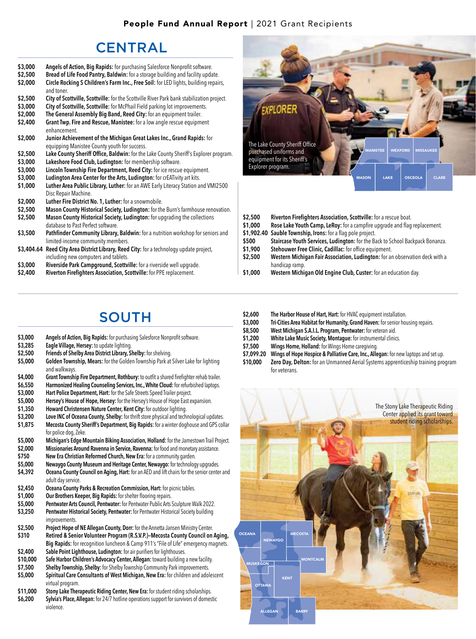#### People Fund Annual Report | 2021 Grant Recipients

## **CENTRAL**

- **\$3,000 Angels of Action, Big Rapids:** for purchasing Salesforce Nonprofit software.
- **\$2,500 Bread of Life Food Pantry, Baldwin:** for a storage building and facility update.
- **\$2,000 Circle Rocking S Children's Farm Inc., Free Soil:** for LED lights, building repairs, and toner.
- \$2,500 City of Scottville, Scottville: for the Scottville River Park bank stabilization project.<br>\$3,000 City of Scottville, Scottville: for McPhail Field parking lot improvements.
- \$3,000 City of Scottville, Scottville: for McPhail Field parking lot improvements.<br>\$2,000 The General Assembly Big Band, Reed City: for an equipment trailer.
- **\$2,000 The General Assembly Big Band, Reed City:** for an equipment trailer.
- **Grant Twp. Fire and Rescue, Manistee:** for a low angle rescue equipment enhancement.
- **\$2,000 Junior Achievement of the Michigan Great Lakes Inc., Grand Rapids:** for equipping Manistee County youth for success.
- **\$2,500 Lake County Sheriff Office, Baldwin:** for the Lake County Sheriff's Explorer program.
- **\$3,000 Lakeshore Food Club, Ludington:** for membership software.
- **\$3,000 Lincoln Township Fire Department, Reed City:** for ice rescue equipment.
- **\$3,000 Ludington Area Center for the Arts, Ludington:** for crEATivity art kits.
- **Luther Area Public Library, Luther:** for an AWE Early Literacy Station and VMI2500 Disc Repair Machine.
- **\$2,000 Luther Fire District No. 1, Luther:** for a snowmobile.
- \$2,500 Mason County Historical Society, Ludington: for the Burn's farmhouse renovation.<br>\$2,500 Mason County Historical Society, Ludington: for upgrading the collections
- **Mason County Historical Society, Ludington:** for upgrading the collections database to Past Perfect software.
- **\$3,500 Pathfinder Community Library, Baldwin:** for a nutrition workshop for seniors and limited-income community members.
- **\$3,404.64 Reed City Area District Library, Reed City:** for a technology update project, including new computers and tablets.
- **\$3,000 Riverside Park Campground, Scottville:** for a riverside well upgrade.
- **\$2,400 Riverton Firefighters Association, Scottville:** for PPE replacement.



- **\$2,500 Riverton Firefighters Association, Scottville:** for a rescue boat.
- **\$1,000 Rose Lake Youth Camp, LeRoy:** for a campfire upgrade and flag replacement.
- **\$1,902.40 Sauble Township, Irons:** for a flag pole project. Staircase Youth Services, Ludington: for the Back to School Backpack Bonanza.
- **\$1,900 Stehouwer Free Clinic, Cadillac:** for office equipment.
- **\$2,500 Western Michigan Fair Association, Ludington:** for an observation deck with a
- handicap ramp. **\$1,000 Western Michigan Old Engine Club, Custer:** for an education day.

## SOUTH

- **\$3,000 Angels of Action, Big Rapids:** for purchasing Salesforce Nonprofit software.
- **\$3,285 Eagle Village, Hersey:** to update lighting.
- **\$2,500 Friends of Shelby Area District Library, Shelby:** for shelving.
- **\$5,000 Golden Township, Mears:** for the Golden Township Park at Silver Lake for lighting and walkways.
- **\$4,000 Grant Township Fire Department, Rothbury:** to outfit a shared firefighter rehab trailer.
- **\$6,550 Harmonized Healing Counseling Services, Inc., White Cloud:** for refurbished laptops.
- **\$3,000 Hart Police Department, Hart:** for the Safe Streets Speed Trailer project.<br>**\$5.000 Hersey's House of Hope. Hersey:** for the Hersey's House of Hope East e.
- **Hersey's House of Hope, Hersey:** for the Hersey's House of Hope East expansion.
- **\$1,350 Howard Christensen Nature Center, Kent City:** for outdoor lighting.
- **\$3,200 Love INC of Oceana County, Shelby:** for thrift store physical and technological updates.
- **\$1,875 Mecosta County Sheriff's Department, Big Rapids:** for a winter doghouse and GPS collar for police dog, Zeke.
- 
- **\$5,000 Michigan's Edge Mountain Biking Association, Holland:** for the Jamestown Trail Project. **\$2,000 Missionaries Around Ravenna in Service, Ravenna:** for food and monetary assistance.
- **\$750 New Era Christian Reformed Church, New Era:** for a community garden.
- **\$5,000 Newaygo County Museum and Heritage Center, Newaygo:** for technology upgrades. **Oceana County Council on Aging, Hart:** for an AED and lift chairs for the senior center and adult day service.
- **\$2,450 Oceana County Parks & Recreation Commission, Hart:** for picnic tables.
- **\$1,000 Our Brothers Keeper, Big Rapids:** for shelter flooring repairs.
- **\$5,000 Pentwater Arts Council, Pentwater:** for Pentwater Public Arts Sculpture Walk 2022.
- **Pentwater Historical Society, Pentwater:** for Pentwater Historical Society building improvements.
- **\$2,500 Project Hope of NE Allegan County, Dorr:** for the Annetta Jansen Ministry Center.
- **\$310 Retired & Senior Volunteer Program (R.S.V.P.)—Mecosta County Council on Aging, Big Rapids:** for recognition luncheon & Camp 911's "File of Life" emergency magnets.
- **\$2,400 Sable Point Lighthouse, Ludington:** for air purifiers for lighthouses.
- **\$10,000 Safe Harbor Children's Advocacy Center, Allegan:** toward building a new facility.
- **\$7,500 Shelby Township, Shelby:** for Shelby Township Community Park improvements. **Spiritual Care Consultants of West Michigan, New Era:** for children and adolescent virtual program.
- **\$11,000 Stony Lake Therapeutic Riding Center, New Era:** for student riding scholarships. **Sylvia's Place, Allegan:** for 24/7 hotline operations support for survivors of domestic violence.
- **\$2,600 The Harbor House of Hart, Hart:** for HVAC equipment installation.
- **\$3,000 Tri-Cities Area Habitat for Humanity, Grand Haven:** for senior housing repairs.
- **\$8,500 West Michigan S.A.I.L. Program, Pentwater:** for veteran aid.
- **\$1,200 White Lake Music Society, Montague:** for instrumental clinics.
- **\$7,500 Wings Home, Holland:** for Wings Home caregiving.
- **Wings of Hope Hospice & Palliative Care, Inc., Allegan:** for new laptops and set up.
- **\$10,000 Zero Day, Delton:** for an Unmanned Aerial Systems apprenticeship training program for veterans.